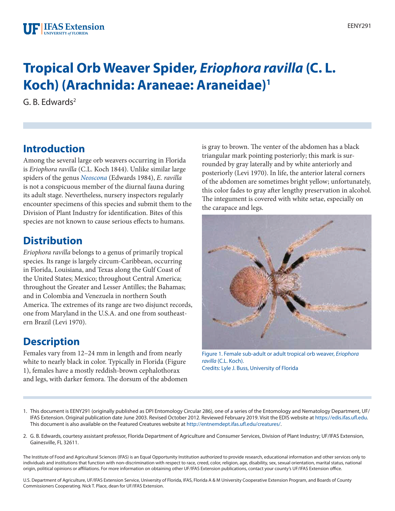# **Tropical Orb Weaver Spider,** *Eriophora ravilla* **(C. L. Koch) (Arachnida: Araneae: Araneidae)1**

G. B. Edwards2

## **Introduction**

Among the several large orb weavers occurring in Florida is *Eriophora ravilla* (C.L. Koch 1844). Unlike similar large spiders of the genus *[Neoscona](http://edis.ifas.ufl.edu/IN569)* (Edwards 1984), *E. ravilla* is not a conspicuous member of the diurnal fauna during its adult stage. Nevertheless, nursery inspectors regularly encounter specimens of this species and submit them to the Division of Plant Industry for identification. Bites of this species are not known to cause serious effects to humans.

#### **Distribution**

*Eriophora ravilla* belongs to a genus of primarily tropical species. Its range is largely circum-Caribbean, occurring in Florida, Louisiana, and Texas along the Gulf Coast of the United States; Mexico; throughout Central America; throughout the Greater and Lesser Antilles; the Bahamas; and in Colombia and Venezuela in northern South America. The extremes of its range are two disjunct records, one from Maryland in the U.S.A. and one from southeastern Brazil (Levi 1970).

# **Description**

Females vary from 12–24 mm in length and from nearly white to nearly black in color. Typically in Florida (Figure 1), females have a mostly reddish-brown cephalothorax and legs, with darker femora. The dorsum of the abdomen is gray to brown. The venter of the abdomen has a black triangular mark pointing posteriorly; this mark is surrounded by gray laterally and by white anteriorly and posteriorly (Levi 1970). In life, the anterior lateral corners of the abdomen are sometimes bright yellow; unfortunately, this color fades to gray after lengthy preservation in alcohol. The integument is covered with white setae, especially on the carapace and legs.



Figure 1. Female sub-adult or adult tropical orb weaver, *Eriophora ravilla* (C.L. Koch). Credits: Lyle J. Buss, University of Florida

- 1. This document is EENY291 (originally published as DPI Entomology Circular 286), one of a series of the Entomology and Nematology Department, UF/ IFAS Extension. Original publication date June 2003. Revised October 2012. Reviewed February 2019. Visit the EDIS website at [https://edis.ifas.ufl.edu.](http://edis.ifas.ufl.edu) This document is also available on the Featured Creatures website at [http://entnemdept.ifas.ufl.edu/creatures/.](http://entnemdept.ifas.ufl.edu/creatures/)
- 2. G. B. Edwards, courtesy assistant professor, Florida Department of Agriculture and Consumer Services, Division of Plant Industry; UF/IFAS Extension, Gainesville, FL 32611.

The Institute of Food and Agricultural Sciences (IFAS) is an Equal Opportunity Institution authorized to provide research, educational information and other services only to individuals and institutions that function with non-discrimination with respect to race, creed, color, religion, age, disability, sex, sexual orientation, marital status, national origin, political opinions or affiliations. For more information on obtaining other UF/IFAS Extension publications, contact your county's UF/IFAS Extension office.

U.S. Department of Agriculture, UF/IFAS Extension Service, University of Florida, IFAS, Florida A & M University Cooperative Extension Program, and Boards of County Commissioners Cooperating. Nick T. Place, dean for UF/IFAS Extension.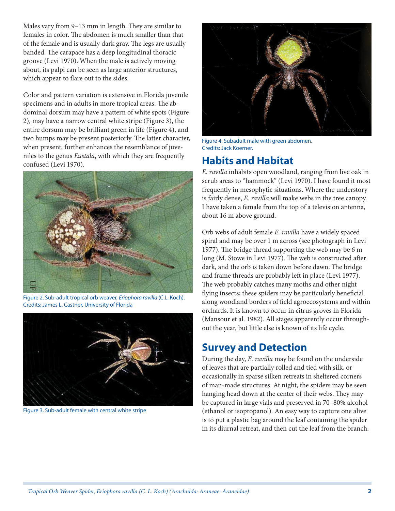Males vary from 9–13 mm in length. They are similar to females in color. The abdomen is much smaller than that of the female and is usually dark gray. The legs are usually banded. The carapace has a deep longitudinal thoracic groove (Levi 1970). When the male is actively moving about, its palpi can be seen as large anterior structures, which appear to flare out to the sides.

Color and pattern variation is extensive in Florida juvenile specimens and in adults in more tropical areas. The abdominal dorsum may have a pattern of white spots (Figure 2), may have a narrow central white stripe (Figure 3), the entire dorsum may be brilliant green in life (Figure 4), and two humps may be present posteriorly. The latter character, when present, further enhances the resemblance of juveniles to the genus *Eustala*, with which they are frequently confused (Levi 1970). **Habits and Habitat**



Figure 2. Sub-adult tropical orb weaver, *Eriophora ravilla* (C.L. Koch). Credits: James L. Castner, University of Florida



Figure 3. Sub-adult female with central white stripe



Figure 4. Subadult male with green abdomen. Credits: Jack Koerner.

*E. ravilla* inhabits open woodland, ranging from live oak in scrub areas to "hammock" (Levi 1970). I have found it most frequently in mesophytic situations. Where the understory is fairly dense, *E. ravilla* will make webs in the tree canopy. I have taken a female from the top of a television antenna, about 16 m above ground.

Orb webs of adult female *E. ravilla* have a widely spaced spiral and may be over 1 m across (see photograph in Levi 1977). The bridge thread supporting the web may be 6 m long (M. Stowe in Levi 1977). The web is constructed after dark, and the orb is taken down before dawn. The bridge and frame threads are probably left in place (Levi 1977). The web probably catches many moths and other night flying insects; these spiders may be particularly beneficial along woodland borders of field agroecosystems and within orchards. It is known to occur in citrus groves in Florida (Mansour et al. 1982). All stages apparently occur throughout the year, but little else is known of its life cycle.

#### **Survey and Detection**

During the day, *E. ravilla* may be found on the underside of leaves that are partially rolled and tied with silk, or occasionally in sparse silken retreats in sheltered corners of man-made structures. At night, the spiders may be seen hanging head down at the center of their webs. They may be captured in large vials and preserved in 70–80% alcohol (ethanol or isopropanol). An easy way to capture one alive is to put a plastic bag around the leaf containing the spider in its diurnal retreat, and then cut the leaf from the branch.